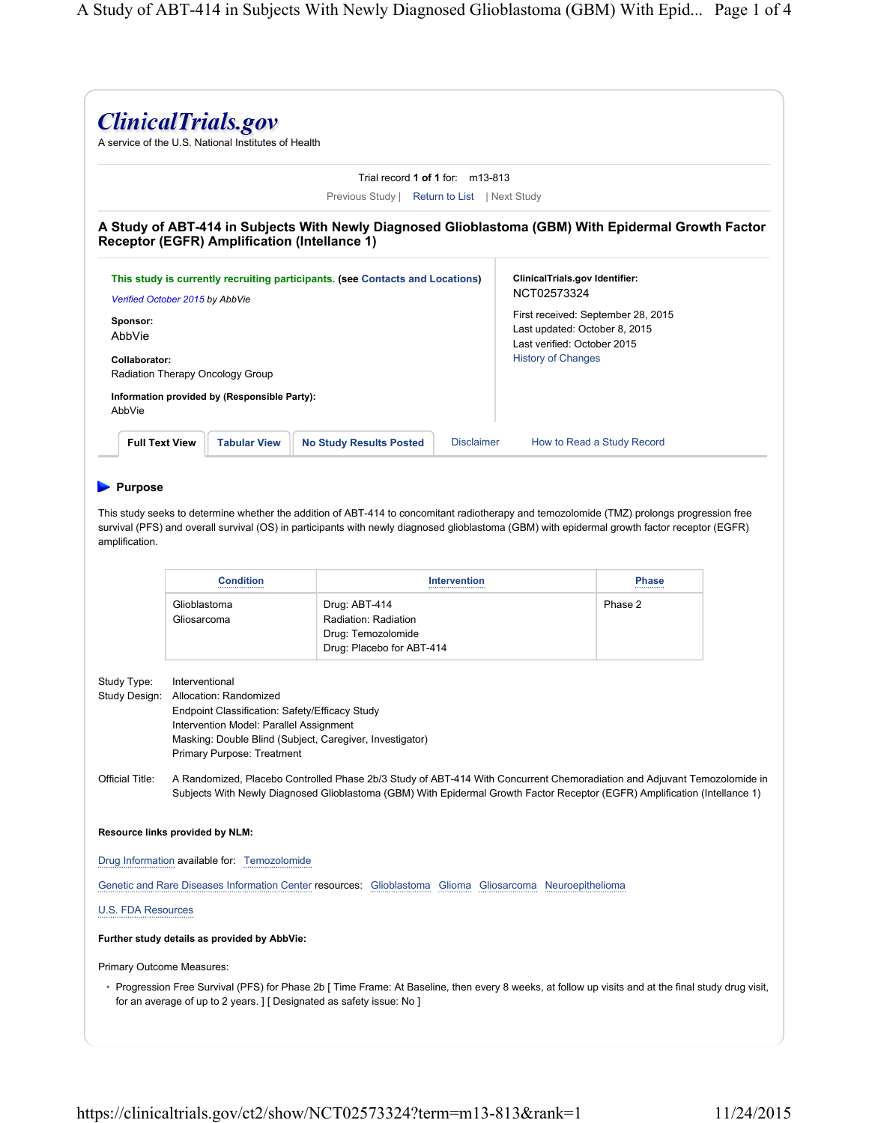|                                                                                                                                                                |                             |                                                                   | Trial record $1$ of $1$ for: $m13-813$                                                                                                                                                                                                                                                      |                                                                     |                            |  |
|----------------------------------------------------------------------------------------------------------------------------------------------------------------|-----------------------------|-------------------------------------------------------------------|---------------------------------------------------------------------------------------------------------------------------------------------------------------------------------------------------------------------------------------------------------------------------------------------|---------------------------------------------------------------------|----------------------------|--|
|                                                                                                                                                                |                             |                                                                   | Previous Study   Return to List   Next Study                                                                                                                                                                                                                                                |                                                                     |                            |  |
|                                                                                                                                                                |                             |                                                                   | A Study of ABT-414 in Subjects With Newly Diagnosed Glioblastoma (GBM) With Epidermal Growth Factor<br>Receptor (EGFR) Amplification (Intellance 1)                                                                                                                                         |                                                                     |                            |  |
| This study is currently recruiting participants. (see Contacts and Locations)                                                                                  |                             |                                                                   |                                                                                                                                                                                                                                                                                             | ClinicalTrials.gov Identifier:                                      |                            |  |
| Verified October 2015 by AbbVie                                                                                                                                |                             |                                                                   |                                                                                                                                                                                                                                                                                             | NCT02573324                                                         |                            |  |
| Sponsor:<br>AbbVie                                                                                                                                             |                             |                                                                   |                                                                                                                                                                                                                                                                                             | First received: September 28, 2015<br>Last updated: October 8, 2015 |                            |  |
| Collaborator:                                                                                                                                                  |                             |                                                                   |                                                                                                                                                                                                                                                                                             | Last verified: October 2015<br><b>History of Changes</b>            |                            |  |
|                                                                                                                                                                |                             | Radiation Therapy Oncology Group                                  |                                                                                                                                                                                                                                                                                             |                                                                     |                            |  |
|                                                                                                                                                                |                             | Information provided by (Responsible Party):                      |                                                                                                                                                                                                                                                                                             |                                                                     |                            |  |
| AbbVie                                                                                                                                                         |                             |                                                                   |                                                                                                                                                                                                                                                                                             |                                                                     |                            |  |
| <b>Full Text View</b>                                                                                                                                          |                             | <b>Tabular View</b>                                               | <b>No Study Results Posted</b><br><b>Disclaimer</b>                                                                                                                                                                                                                                         |                                                                     | How to Read a Study Record |  |
|                                                                                                                                                                |                             |                                                                   | This study seeks to determine whether the addition of ABT-414 to concomitant radiotherapy and temozolomide (TMZ) prolongs progression free<br>survival (PFS) and overall survival (OS) in participants with newly diagnosed glioblastoma (GBM) with epidermal growth factor receptor (EGFR) |                                                                     |                            |  |
|                                                                                                                                                                | Glioblastoma<br>Gliosarcoma | <b>Condition</b>                                                  | Intervention<br>Drug: ABT-414<br>Radiation: Radiation<br>Drug: Temozolomide                                                                                                                                                                                                                 |                                                                     | <b>Phase</b><br>Phase 2    |  |
|                                                                                                                                                                | Interventional              | Allocation: Randomized<br>Intervention Model: Parallel Assignment | Drug: Placebo for ABT-414<br>Endpoint Classification: Safety/Efficacy Study<br>Masking: Double Blind (Subject, Caregiver, Investigator)                                                                                                                                                     |                                                                     |                            |  |
|                                                                                                                                                                |                             | <b>Primary Purpose: Treatment</b>                                 | A Randomized, Placebo Controlled Phase 2b/3 Study of ABT-414 With Concurrent Chemoradiation and Adjuvant Temozolomide in<br>Subjects With Newly Diagnosed Glioblastoma (GBM) With Epidermal Growth Factor Receptor (EGFR) Amplification (Intellance 1)                                      |                                                                     |                            |  |
|                                                                                                                                                                |                             |                                                                   |                                                                                                                                                                                                                                                                                             |                                                                     |                            |  |
|                                                                                                                                                                |                             | Drug Information available for: Temozolomide                      |                                                                                                                                                                                                                                                                                             |                                                                     |                            |  |
|                                                                                                                                                                |                             |                                                                   | Genetic and Rare Diseases Information Center resources: Glioblastoma Glioma Gliosarcoma Neuroepithelioma                                                                                                                                                                                    |                                                                     |                            |  |
|                                                                                                                                                                |                             |                                                                   |                                                                                                                                                                                                                                                                                             |                                                                     |                            |  |
|                                                                                                                                                                |                             | Further study details as provided by AbbVie:                      |                                                                                                                                                                                                                                                                                             |                                                                     |                            |  |
| amplification.<br>Study Type:<br>Study Design:<br>Official Title:<br>Resource links provided by NLM:<br><b>U.S. FDA Resources</b><br>Primary Outcome Measures: |                             |                                                                   |                                                                                                                                                                                                                                                                                             |                                                                     |                            |  |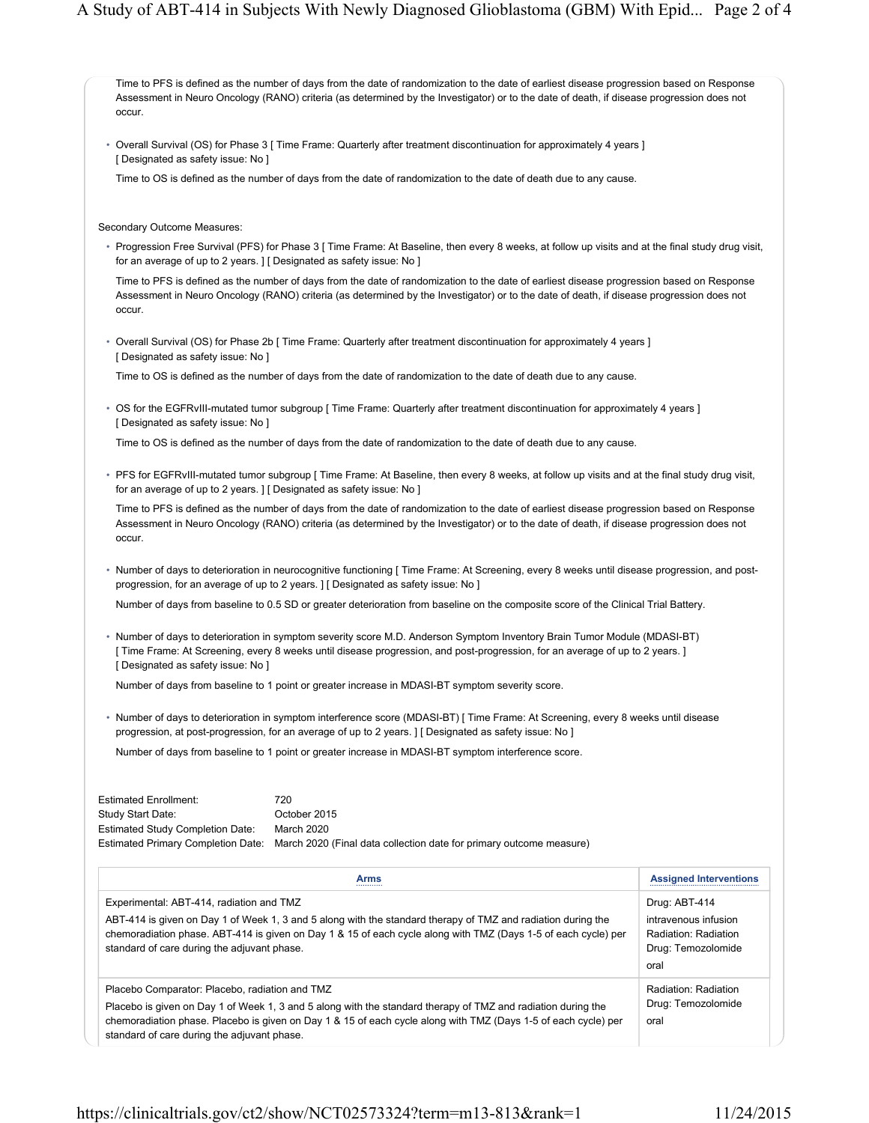Time to PFS is defined as the number of days from the date of randomization to the date of earliest disease progression based on Response Assessment in Neuro Oncology (RANO) criteria (as determined by the Investigator) or to the date of death, if disease progression does not occur.

• Overall Survival (OS) for Phase 3 [ Time Frame: Quarterly after treatment discontinuation for approximately 4 years ] [ Designated as safety issue: No ]

Time to OS is defined as the number of days from the date of randomization to the date of death due to any cause.

Secondary Outcome Measures:

• Progression Free Survival (PFS) for Phase 3 [ Time Frame: At Baseline, then every 8 weeks, at follow up visits and at the final study drug visit, for an average of up to 2 years. ] [ Designated as safety issue: No ]

Time to PFS is defined as the number of days from the date of randomization to the date of earliest disease progression based on Response Assessment in Neuro Oncology (RANO) criteria (as determined by the Investigator) or to the date of death, if disease progression does not occur.

• Overall Survival (OS) for Phase 2b [ Time Frame: Quarterly after treatment discontinuation for approximately 4 years ] [ Designated as safety issue: No ]

Time to OS is defined as the number of days from the date of randomization to the date of death due to any cause.

• OS for the EGFRvIII-mutated tumor subgroup [ Time Frame: Quarterly after treatment discontinuation for approximately 4 years ] [ Designated as safety issue: No ]

Time to OS is defined as the number of days from the date of randomization to the date of death due to any cause.

• PFS for EGFRvIII-mutated tumor subgroup [ Time Frame: At Baseline, then every 8 weeks, at follow up visits and at the final study drug visit, for an average of up to 2 years. ] [ Designated as safety issue: No ]

Time to PFS is defined as the number of days from the date of randomization to the date of earliest disease progression based on Response Assessment in Neuro Oncology (RANO) criteria (as determined by the Investigator) or to the date of death, if disease progression does not occur.

• Number of days to deterioration in neurocognitive functioning [ Time Frame: At Screening, every 8 weeks until disease progression, and postprogression, for an average of up to 2 years. ] [ Designated as safety issue: No ]

Number of days from baseline to 0.5 SD or greater deterioration from baseline on the composite score of the Clinical Trial Battery.

• Number of days to deterioration in symptom severity score M.D. Anderson Symptom Inventory Brain Tumor Module (MDASI-BT) [ Time Frame: At Screening, every 8 weeks until disease progression, and post-progression, for an average of up to 2 years. ] [ Designated as safety issue: No ]

Number of days from baseline to 1 point or greater increase in MDASI-BT symptom severity score.

• Number of days to deterioration in symptom interference score (MDASI-BT) [ Time Frame: At Screening, every 8 weeks until disease progression, at post-progression, for an average of up to 2 years. ] [ Designated as safety issue: No ]

Number of days from baseline to 1 point or greater increase in MDASI-BT symptom interference score.

| <b>Estimated Enrollment:</b>            | 720                                                                                                    |
|-----------------------------------------|--------------------------------------------------------------------------------------------------------|
| Study Start Date:                       | October 2015                                                                                           |
| <b>Estimated Study Completion Date:</b> | March 2020                                                                                             |
|                                         | Estimated Primary Completion Date: March 2020 (Final data collection date for primary outcome measure) |

| <b>Arms</b>                                                                                                                                                                                                                                                                                                                     | <b>Assigned Interventions</b>                                                               |  |
|---------------------------------------------------------------------------------------------------------------------------------------------------------------------------------------------------------------------------------------------------------------------------------------------------------------------------------|---------------------------------------------------------------------------------------------|--|
| Experimental: ABT-414, radiation and TMZ<br>ABT-414 is given on Day 1 of Week 1, 3 and 5 along with the standard therapy of TMZ and radiation during the<br>chemoradiation phase. ABT-414 is given on Day 1 & 15 of each cycle along with TMZ (Days 1-5 of each cycle) per<br>standard of care during the adjuvant phase.       | Drug: ABT-414<br>intravenous infusion<br>Radiation: Radiation<br>Drug: Temozolomide<br>oral |  |
| Placebo Comparator: Placebo, radiation and TMZ<br>Placebo is given on Day 1 of Week 1, 3 and 5 along with the standard therapy of TMZ and radiation during the<br>chemoradiation phase. Placebo is given on Day 1 & 15 of each cycle along with TMZ (Days 1-5 of each cycle) per<br>standard of care during the adjuvant phase. | Radiation: Radiation<br>Drug: Temozolomide<br>oral                                          |  |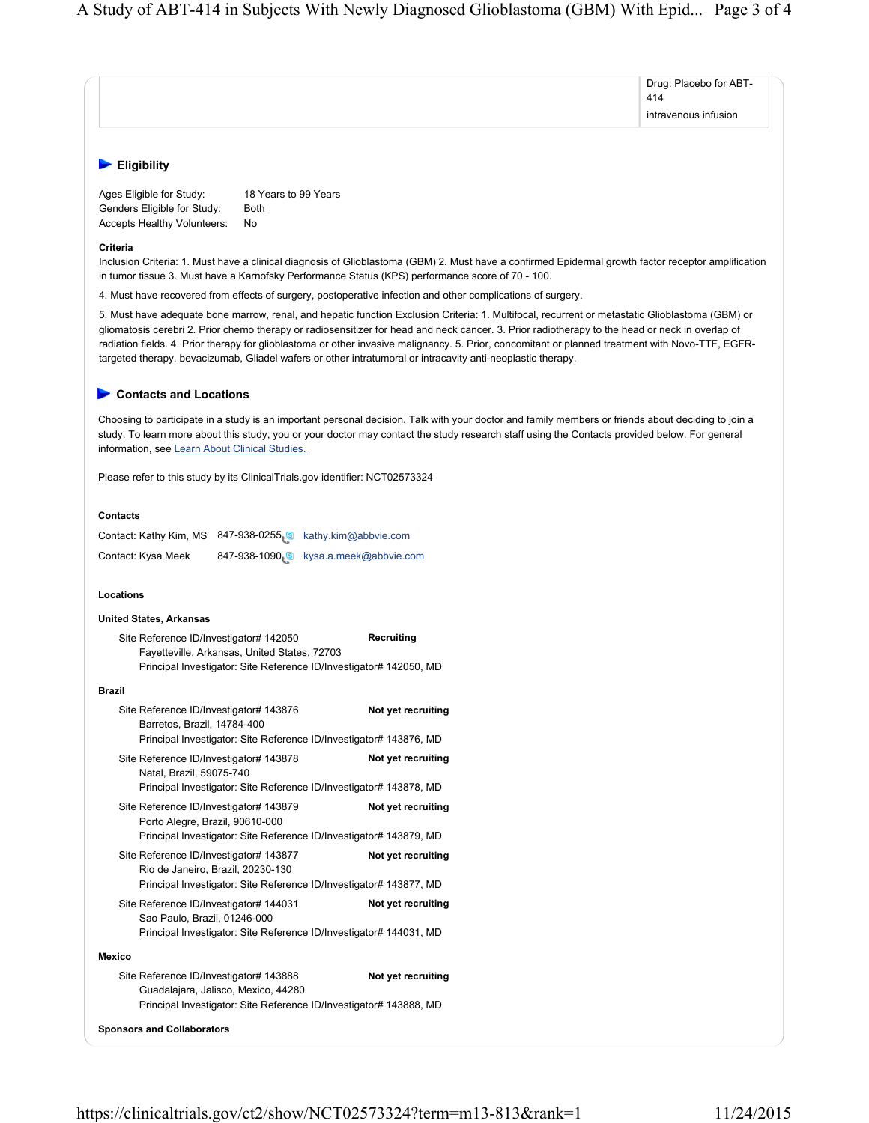|                                                                                                                                                                                                                                                                                                                                                                                                                                                                                                                                                                        | Drug: Placebo for ABT-      |  |  |  |
|------------------------------------------------------------------------------------------------------------------------------------------------------------------------------------------------------------------------------------------------------------------------------------------------------------------------------------------------------------------------------------------------------------------------------------------------------------------------------------------------------------------------------------------------------------------------|-----------------------------|--|--|--|
|                                                                                                                                                                                                                                                                                                                                                                                                                                                                                                                                                                        | 414<br>intravenous infusion |  |  |  |
|                                                                                                                                                                                                                                                                                                                                                                                                                                                                                                                                                                        |                             |  |  |  |
| <b>Eligibility</b>                                                                                                                                                                                                                                                                                                                                                                                                                                                                                                                                                     |                             |  |  |  |
| 18 Years to 99 Years<br>Ages Eligible for Study:<br>Genders Eligible for Study:<br>Both<br>Accepts Healthy Volunteers:<br>No                                                                                                                                                                                                                                                                                                                                                                                                                                           |                             |  |  |  |
| Criteria<br>Inclusion Criteria: 1. Must have a clinical diagnosis of Glioblastoma (GBM) 2. Must have a confirmed Epidermal growth factor receptor amplification<br>in tumor tissue 3. Must have a Karnofsky Performance Status (KPS) performance score of 70 - 100.                                                                                                                                                                                                                                                                                                    |                             |  |  |  |
| 4. Must have recovered from effects of surgery, postoperative infection and other complications of surgery.                                                                                                                                                                                                                                                                                                                                                                                                                                                            |                             |  |  |  |
| 5. Must have adequate bone marrow, renal, and hepatic function Exclusion Criteria: 1. Multifocal, recurrent or metastatic Glioblastoma (GBM) or<br>gliomatosis cerebri 2. Prior chemo therapy or radiosensitizer for head and neck cancer. 3. Prior radiotherapy to the head or neck in overlap of<br>radiation fields. 4. Prior therapy for glioblastoma or other invasive malignancy. 5. Prior, concomitant or planned treatment with Novo-TTF, EGFR-<br>targeted therapy, bevacizumab, Gliadel wafers or other intratumoral or intracavity anti-neoplastic therapy. |                             |  |  |  |
| <b>Contacts and Locations</b>                                                                                                                                                                                                                                                                                                                                                                                                                                                                                                                                          |                             |  |  |  |
| Choosing to participate in a study is an important personal decision. Talk with your doctor and family members or friends about deciding to join a<br>study. To learn more about this study, you or your doctor may contact the study research staff using the Contacts provided below. For general<br>information, see Learn About Clinical Studies.                                                                                                                                                                                                                  |                             |  |  |  |
| Please refer to this study by its ClinicalTrials.gov identifier: NCT02573324                                                                                                                                                                                                                                                                                                                                                                                                                                                                                           |                             |  |  |  |
| <b>Contacts</b>                                                                                                                                                                                                                                                                                                                                                                                                                                                                                                                                                        |                             |  |  |  |
| Contact: Kathy Kim, MS 847-938-0255 8 kathy.kim@abbvie.com                                                                                                                                                                                                                                                                                                                                                                                                                                                                                                             |                             |  |  |  |
| 847-938-1090 s kysa.a.meek@abbvie.com<br>Contact: Kysa Meek                                                                                                                                                                                                                                                                                                                                                                                                                                                                                                            |                             |  |  |  |
| Locations                                                                                                                                                                                                                                                                                                                                                                                                                                                                                                                                                              |                             |  |  |  |
| <b>United States, Arkansas</b>                                                                                                                                                                                                                                                                                                                                                                                                                                                                                                                                         |                             |  |  |  |
| Site Reference ID/Investigator# 142050<br>Recruiting<br>Fayetteville, Arkansas, United States, 72703<br>Principal Investigator: Site Reference ID/Investigator# 142050, MD                                                                                                                                                                                                                                                                                                                                                                                             |                             |  |  |  |
| <b>Brazil</b>                                                                                                                                                                                                                                                                                                                                                                                                                                                                                                                                                          |                             |  |  |  |
| Site Reference ID/Investigator# 143876<br>Not yet recruiting<br>Barretos, Brazil, 14784-400<br>Principal Investigator: Site Reference ID/Investigator# 143876, MD                                                                                                                                                                                                                                                                                                                                                                                                      |                             |  |  |  |
| Site Reference ID/Investigator# 143878<br>Not yet recruiting                                                                                                                                                                                                                                                                                                                                                                                                                                                                                                           |                             |  |  |  |
| Natal, Brazil, 59075-740<br>Principal Investigator: Site Reference ID/Investigator# 143878, MD                                                                                                                                                                                                                                                                                                                                                                                                                                                                         |                             |  |  |  |
| Site Reference ID/Investigator# 143879<br>Not yet recruiting<br>Porto Alegre, Brazil, 90610-000                                                                                                                                                                                                                                                                                                                                                                                                                                                                        |                             |  |  |  |
| Principal Investigator: Site Reference ID/Investigator# 143879, MD                                                                                                                                                                                                                                                                                                                                                                                                                                                                                                     |                             |  |  |  |
| Site Reference ID/Investigator# 143877<br>Not yet recruiting<br>Rio de Janeiro, Brazil, 20230-130<br>Principal Investigator: Site Reference ID/Investigator# 143877, MD                                                                                                                                                                                                                                                                                                                                                                                                |                             |  |  |  |
| Site Reference ID/Investigator# 144031<br>Not yet recruiting<br>Sao Paulo, Brazil, 01246-000<br>Principal Investigator: Site Reference ID/Investigator# 144031, MD                                                                                                                                                                                                                                                                                                                                                                                                     |                             |  |  |  |
| <b>Mexico</b>                                                                                                                                                                                                                                                                                                                                                                                                                                                                                                                                                          |                             |  |  |  |
| Not yet recruiting<br>Site Reference ID/Investigator# 143888<br>Guadalajara, Jalisco, Mexico, 44280<br>Principal Investigator: Site Reference ID/Investigator# 143888, MD                                                                                                                                                                                                                                                                                                                                                                                              |                             |  |  |  |
| <b>Sponsors and Collaborators</b>                                                                                                                                                                                                                                                                                                                                                                                                                                                                                                                                      |                             |  |  |  |